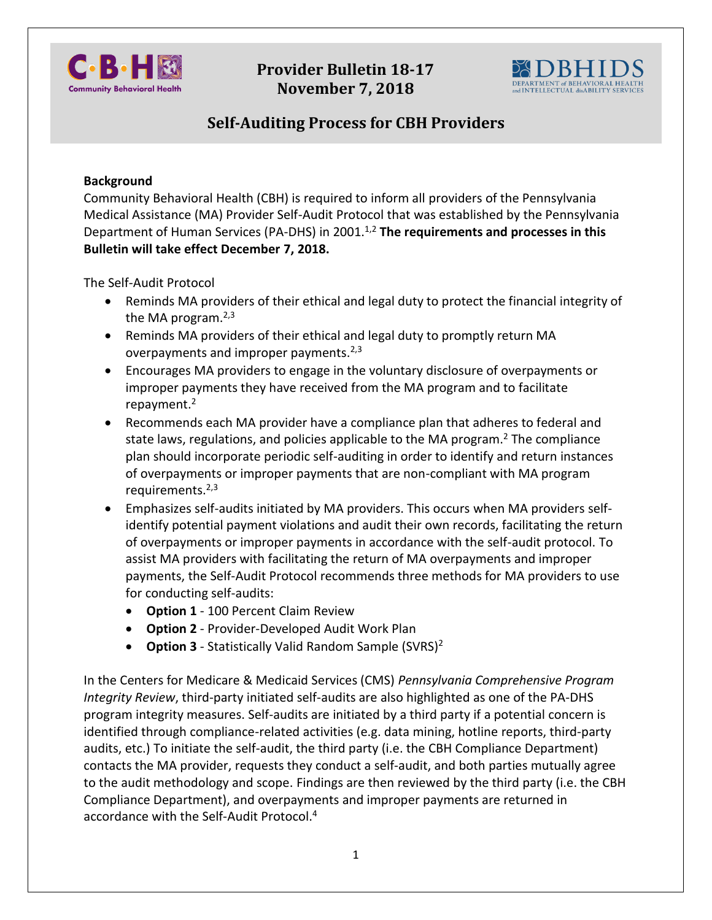

**Provider Bulletin 18-17 November 7, 2018**



## **Self-Auditing Process for CBH Providers**

## **Background**

Community Behavioral Health (CBH) is required to inform all providers of the Pennsylvania Medical Assistance (MA) Provider Self-Audit Protocol that was established by the Pennsylvania Department of Human Services (PA-DHS) in 2001.<sup>1,2</sup> The requirements and processes in this **Bulletin will take effect December 7, 2018.** 

The Self-Audit Protocol

- Reminds MA providers of their ethical and legal duty to protect the financial integrity of the MA program.<sup>2,3</sup>
- Reminds MA providers of their ethical and legal duty to promptly return MA overpayments and improper payments.<sup>2,3</sup>
- Encourages MA providers to engage in the voluntary disclosure of overpayments or improper payments they have received from the MA program and to facilitate repayment.<sup>2</sup>
- Recommends each MA provider have a compliance plan that adheres to federal and state laws, regulations, and policies applicable to the MA program.<sup>2</sup> The compliance plan should incorporate periodic self-auditing in order to identify and return instances of overpayments or improper payments that are non-compliant with MA program requirements.<sup>2,3</sup>
- Emphasizes self-audits initiated by MA providers. This occurs when MA providers selfidentify potential payment violations and audit their own records, facilitating the return of overpayments or improper payments in accordance with the self-audit protocol. To assist MA providers with facilitating the return of MA overpayments and improper payments, the Self-Audit Protocol recommends three methods for MA providers to use for conducting self-audits:
	- **Option 1** 100 Percent Claim Review
	- **Option 2** Provider-Developed Audit Work Plan
	- **Option 3** Statistically Valid Random Sample (SVRS)<sup>2</sup>

In the Centers for Medicare & Medicaid Services (CMS) *Pennsylvania Comprehensive Program Integrity Review*, third-party initiated self-audits are also highlighted as one of the PA-DHS program integrity measures. Self-audits are initiated by a third party if a potential concern is identified through compliance-related activities (e.g. data mining, hotline reports, third-party audits, etc.) To initiate the self-audit, the third party (i.e. the CBH Compliance Department) contacts the MA provider, requests they conduct a self-audit, and both parties mutually agree to the audit methodology and scope. Findings are then reviewed by the third party (i.e. the CBH Compliance Department), and overpayments and improper payments are returned in accordance with the Self-Audit Protocol.<sup>4</sup>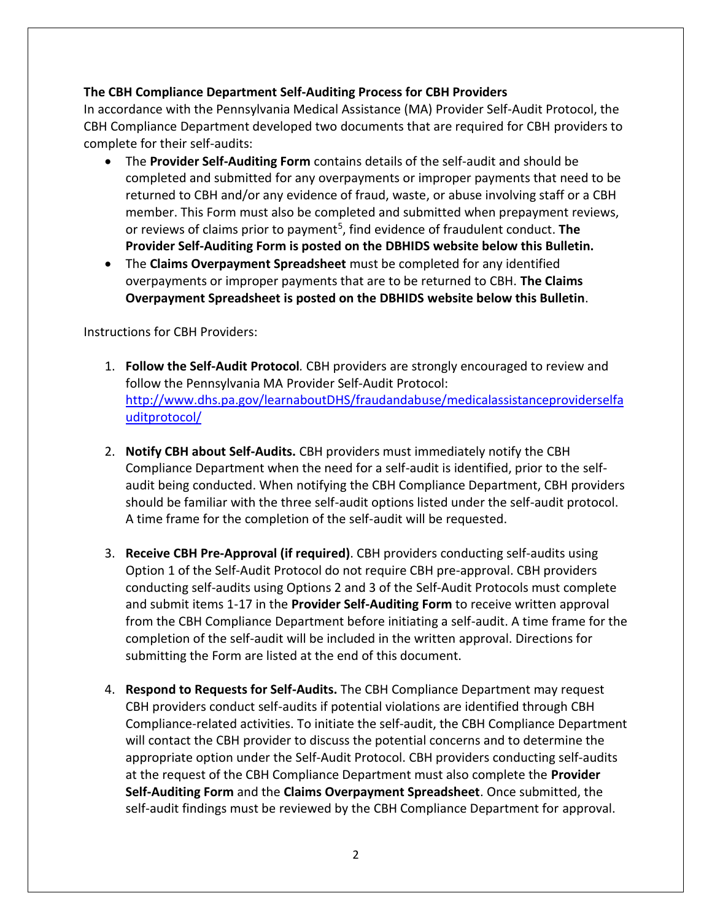## **The CBH Compliance Department Self-Auditing Process for CBH Providers**

In accordance with the Pennsylvania Medical Assistance (MA) Provider Self-Audit Protocol, the CBH Compliance Department developed two documents that are required for CBH providers to complete for their self-audits:

- The **Provider Self-Auditing Form** contains details of the self-audit and should be completed and submitted for any overpayments or improper payments that need to be returned to CBH and/or any evidence of fraud, waste, or abuse involving staff or a CBH member. This Form must also be completed and submitted when prepayment reviews, or reviews of claims prior to payment<sup>5</sup>, find evidence of fraudulent conduct. The **Provider Self-Auditing Form is posted on the DBHIDS website below this Bulletin.**
- The **Claims Overpayment Spreadsheet** must be completed for any identified overpayments or improper payments that are to be returned to CBH. **The Claims Overpayment Spreadsheet is posted on the DBHIDS website below this Bulletin**.

Instructions for CBH Providers:

- 1. **Follow the Self-Audit Protocol***.* CBH providers are strongly encouraged to review and follow the Pennsylvania MA Provider Self-Audit Protocol: [http://www.dhs.pa.gov/learnaboutDHS/fraudandabuse/medicalassistanceproviderselfa](http://www.dhs.pa.gov/learnaboutDHS/fraudandabuse/medicalassistanceproviderselfauditprotocol/) [uditprotocol/](http://www.dhs.pa.gov/learnaboutDHS/fraudandabuse/medicalassistanceproviderselfauditprotocol/)
- 2. **Notify CBH about Self-Audits.** CBH providers must immediately notify the CBH Compliance Department when the need for a self-audit is identified, prior to the selfaudit being conducted. When notifying the CBH Compliance Department, CBH providers should be familiar with the three self-audit options listed under the self-audit protocol. A time frame for the completion of the self-audit will be requested.
- 3. **Receive CBH Pre-Approval (if required)**. CBH providers conducting self-audits using Option 1 of the Self-Audit Protocol do not require CBH pre-approval. CBH providers conducting self-audits using Options 2 and 3 of the Self-Audit Protocols must complete and submit items 1-17 in the **Provider Self-Auditing Form** to receive written approval from the CBH Compliance Department before initiating a self-audit. A time frame for the completion of the self-audit will be included in the written approval. Directions for submitting the Form are listed at the end of this document.
- 4. **Respond to Requests for Self-Audits.** The CBH Compliance Department may request CBH providers conduct self-audits if potential violations are identified through CBH Compliance-related activities. To initiate the self-audit, the CBH Compliance Department will contact the CBH provider to discuss the potential concerns and to determine the appropriate option under the Self-Audit Protocol. CBH providers conducting self-audits at the request of the CBH Compliance Department must also complete the **Provider Self-Auditing Form** and the **Claims Overpayment Spreadsheet**. Once submitted, the self-audit findings must be reviewed by the CBH Compliance Department for approval.